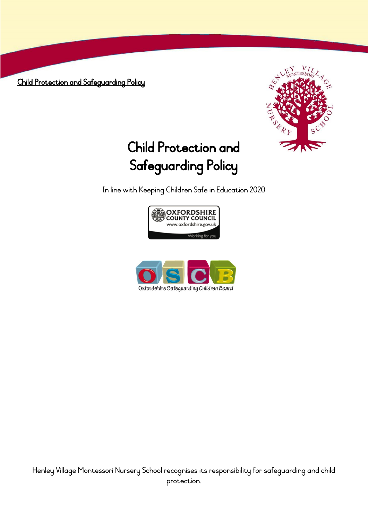Child Protection and Safeguarding Policy



# Child Protection and Safeguarding Policy

In line with Keeping Children Safe in Education 2020



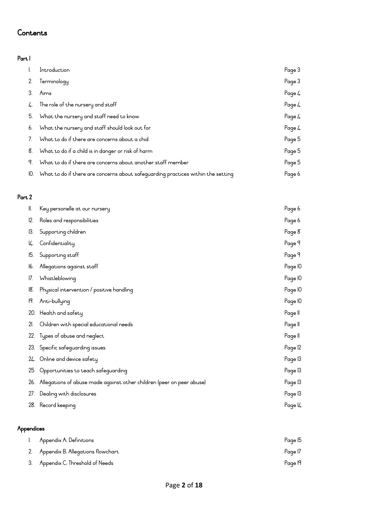## **Contents**

## Part 1

| $\mathbf{L}$ | Introduction                                                                         | Page 3 |
|--------------|--------------------------------------------------------------------------------------|--------|
| 2.           | Terminology                                                                          | Page 3 |
| 3.           | Aims                                                                                 | Page 4 |
| 4.           | The role of the nursery and staff                                                    | Page 4 |
|              | 5. What the nursery and staff need to know                                           | Page 4 |
|              | 6. What the nursery and staff should look out for                                    | Page 4 |
| 7.           | What to do if there are concerns about a chid                                        | Page 5 |
|              | 8. What to do if a child is in danger or risk of harm                                | Page 5 |
| 9.           | What to do if there are concerns about another staff member                          | Page 5 |
|              | IO. What to do if there are concerns about safeguarding practices within the setting | Page 6 |

## Part 2

| II. | Page 6<br>Key personelle at our nursery                                   |         |
|-----|---------------------------------------------------------------------------|---------|
| 12. | Roles and responsibilities                                                | Page 6  |
| 13. | Supporting children                                                       |         |
| I4. | Confidentiality                                                           | Page 9  |
| I5. | Supporting staff                                                          |         |
| 16. | Allegations against staff                                                 | Page IO |
| 17. | Whistleblowing                                                            | Page IO |
| 18. | Physical intervention / positive handling                                 | Page IO |
| 19. | Anti-bullying                                                             | Page IO |
|     | 20. Health and safety                                                     | Page II |
| 21. | Children with special educational needs                                   | Page II |
|     | 22. Types of abuse and neglect                                            | Page II |
|     | 23. Specific safeguarding issues                                          | Page 12 |
|     | 24. Online and device safety                                              | Page 13 |
|     | 25. Opportunities to teach safequarding                                   | Page 13 |
|     | 26. Allegations of abuse made against other children (peer on peer abuse) | Page 13 |
| 27. | Dealing with disclosures                                                  | Page 13 |
|     | 28. Record keeping                                                        | Page I4 |

## Appendices

| Appendix A: Definitions              | Page 15 |
|--------------------------------------|---------|
| 2. Appendix B: Allegations flowchart | Page 17 |
| 3. Appendix C: Threshold of Needs    | Page 19 |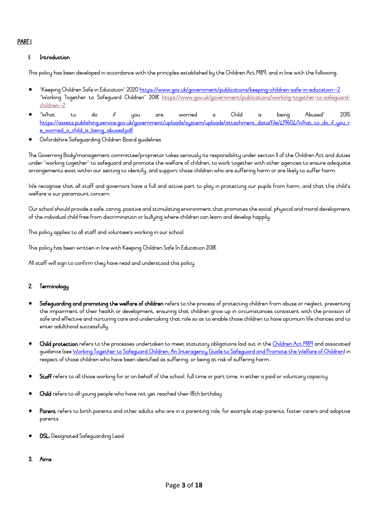## PART 1

## 1. Introduction

This policy has been developed in accordance with the principles established by the Children Act 1989; and in line with the following:

- "Keeping Children Safe in Education" 2020 <https://www.gov.uk/government/publications/keeping-children-safe-in-education--2> "Working Together to Safeguard Children" 2018 [https://www.gov.uk/government/publications/working-together-to-safeguard](https://www.gov.uk/government/publications/working-together-to-safeguard-children--2)[children--2](https://www.gov.uk/government/publications/working-together-to-safeguard-children--2)
- "What to do if you are worried a Child is being Abused" 2015 [https://assets.publishing.service.gov.uk/government/uploads/system/uploads/attachment\\_data/file/419604/What\\_to\\_do\\_if\\_you\\_r](https://assets.publishing.service.gov.uk/government/uploads/system/uploads/attachment_data/file/419604/What_to_do_if_you_re_worried_a_child_is_being_abused.pdf) [e\\_worried\\_a\\_child\\_is\\_being\\_abused.pdf](https://assets.publishing.service.gov.uk/government/uploads/system/uploads/attachment_data/file/419604/What_to_do_if_you_re_worried_a_child_is_being_abused.pdf)
- Oxfordshire Safeguarding Children Board guidelines

The Governing Body/management committee/proprietor takes seriously its responsibility under section 11 of the Children Act and duties under "working together" to safeguard and promote the welfare of children; to work together with other agencies to ensure adequate arrangements exist within our setting to identify, and support those children who are suffering harm or are likely to suffer harm.

We recognise that all staff and governors have a full and active part to play in protecting our pupils from harm, and that the child's welfare is our paramount concern.

Our school should provide a safe, caring, positive and stimulating environment that promotes the social, physical and moral development of the individual child free from discrimination or bullying where children can learn and develop happily.

This policy applies to all staff and volunteers working in our school.

This policy has been written in line with Keeping Children Safe In Education 2018.

All staff will sign to confirm they have read and understood this policy.

## 2. Terminology

- Safeguarding and promoting the welfare of children refers to the process of protecting children from abuse or neglect, preventing the impairment of their health or development, ensuring that children grow up in circumstances consistent with the provision of safe and effective and nurturing care and undertaking that role so as to enable those children to have optimum life chances and to enter adulthood successfully.
- Child protection refers to the processes undertaken to meet statutory obligations laid out in the [Children Act 1989](http://www.opsi.gov.uk/acts/acts1989/ukpga_19890041_en_2) and associated guidance (see <u>Working Together to Safeguard Children, An Interagency Guide to Safeguard and Promote the Welfare of Children</u>) in respect of those children who have been identified as suffering, or being at risk of suffering harm.
- Staff refers to all those working for or on behalf of the school, full time or part time, in either a paid or voluntary capacity.
- Child refers to all young people who have not yet reached their I8th birthday.
- Parent refers to birth parents and other adults who are in a parenting role, for example step-parents, foster carers and adoptive parents
- DSL: Designated Safeguarding Lead

#### 3. Aims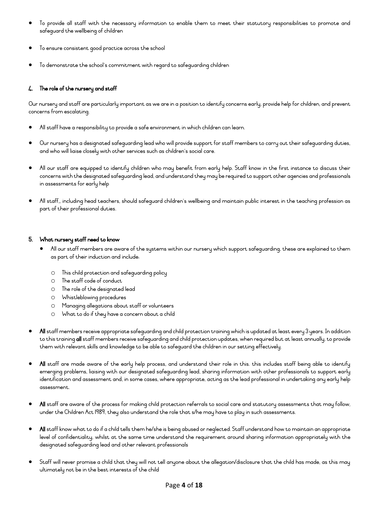- To provide all staff with the necessary information to enable them to meet their statutory responsibilities to promote and safeguard the wellbeing of children
- To ensure consistent good practice across the school
- To demonstrate the school's commitment with regard to safeguarding children

## 4. The role of the nursery and staff

Our nursery and staff are particularly important as we are in a position to identify concerns early, provide help for children, and prevent concerns from escalating.

- All staff have a responsibility to provide a safe environment in which children can learn.
- Our nurseryhas a designated safeguarding lead who will provide support for staff members to carry out their safeguarding duties, and who will liaise closely with other services such as children's social care.
- All our staff are equipped to identify children who may benefit from early help. Staff know in the first instance to discuss their concerns with the designated safeguarding lead, and understand they may be required to support other agencies and professionals in assessments for early help
- All staff,, including head teachers, should safeguard children's wellbeing and maintain public interest in the teaching profession as part of their professional duties.

## 5. What nursery staff need to know

- All our staff members are aware of the systems within our nursery which support safeguarding, these are explained to them as part of their induction and include:
	- o This child protection and safeguarding policy
	- o The staff code of conduct
	- o The role of the designated lead
	- o Whistleblowing procedures
	- o Managing allegations about staff or volunteers
	- o What to do if they have a concern about a child
- All staff members receive appropriate safeguarding and child protection training which is updated at least every 3 years. In addition to this training all staff members receive safeguarding and child protection updates, when required but at least annually, to provide them with relevant skills and knowledge to be able to safeguard the children in our setting effectively.
- All staff are made aware of the early help process, and understand their role in this. this includes staff being able to identify emerging problems, liaising with our designated safeguarding lead, sharing information with other professionals to support early identification and assessment and, in some cases, where appropriate, acting as the lead professional in undertaking any early help assessment.
- All staff are aware of the process for making child protection referrals to social care and statutory assessments that may follow, under the Children Act 1989, they also understand the role that s/he may have to play in such assessments.
- All staff know what to do if a child tells them he/she is being abused or neglected. Staff understand how to maintain an appropriate level of confidentiality, whilst at the same time understand the requirement around sharing information appropriately with the designated safeguarding lead and other relevant professionals
- Staff will never promise a child that they will not tell anyone about the allegation/disclosure that the child has made, as this may ultimately not be in the best interests of the child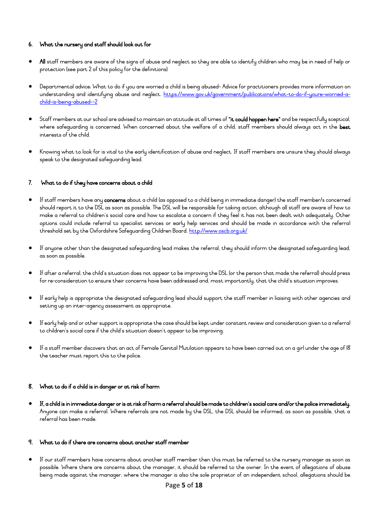## 6. What the nursery and staff should look out for

- All staff members are aware of the signs of abuse and neglect so they are able to identify children who may be in need of help or protection (see part 2 of this policy for the definitions)
- Departmental advice: What to do if you are worried a child is being abused- Advice for practitioners provides more information on understanding and identifying abuse and neglect. [https://www.gov.uk/government/publications/what-to-do-if-youre-worried-a](https://www.gov.uk/government/publications/what-to-do-if-youre-worried-a-child-is-being-abused--2)[child-is-being-abused--2](https://www.gov.uk/government/publications/what-to-do-if-youre-worried-a-child-is-being-abused--2)
- Staff members at our school are advised to maintain an attitude at all times of "it could happen here" and be respectfully sceptical, where safequarding is concerned. When concerned about the welfare of a child, staff members should always act in the best interests of the child.
- Knowing what to look for is vital to the early identification of abuse and neglect. If staff members are unsure they should always speak to the designated safeguarding lead.

## 7. What to do if they have concerns about a child

- If staff members have any concerns about a child (as opposed to a child being in immediate danger) the staff member/s concerned should report it to the DSL as soon as possible. The DSL will be responsible for taking action, although all staff are aware of how to make a referral to children's social care and how to escalate a concern if they feel it has not been dealt with adequately. Other options could include referral to specialist services or early help services and should be made in accordance with the referral threshold set by the Oxfordshire Safeguarding Children Board.<http://www.oscb.org.uk/>
- If anyone other than the designated safeguarding lead makes the referral, they should inform the designated safeguarding lead, as soon as possible.
- If after a referral, the child's situation does not appear to be improving the DSL (or the person that made the referral) should press for re-consideration to ensure their concerns have been addressed and, most importantly, that the child's situation improves.
- If early help is appropriate the designated safeguarding lead should support the staff member in liaising with other agencies and setting up an inter-agency assessment as appropriate.
- If early help and or other support is appropriate the case should be kept under constant review and consideration given to a referral to children's social care if the child's situation doesn't appear to be improving.
- If a staff member discovers that an act of Female Genital Mutilation appears to have been carried out on a girl under the age of 18 the teacher must report this to the police.

## 8. What to do if a child is in danger or at risk of harm

• If, a child is in immediate danger or is at risk of harm a referral should be made to children's social care and/or the police immediately. Anyone can make a referral. Where referrals are not made by the DSL, the DSL should be informed, as soon as possible, that a referral has been made.

## 9. What to do if there are concerns about another staff member

• If our staff members have concerns about another staff member then this must be referred to the nursery manager as soon as possible. Where there are concerns about the manager, it should be referred to the owner. In the event of allegations of abuse being made against the manager, where the manager is also the sole proprietor of an independent school, allegations should be

## Page **5** of **18**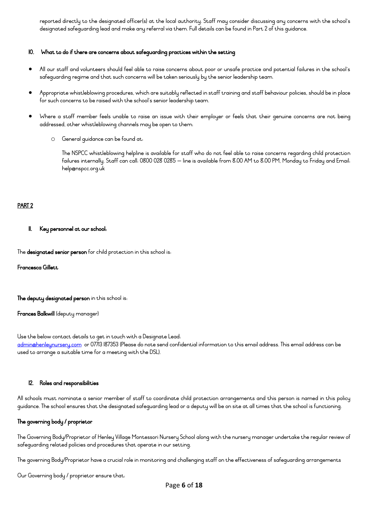reported directly to the designated officer(s) at the local authority. Staff may consider discussing any concerns with the school's designated safeguarding lead and make any referral via them. Full details can be found in Part 2 of this guidance.

#### 10. What to do if there are concerns about safeguarding practices within the setting

- All our staff and volunteers should feel able to raise concerns about poor or unsafe practice and potential failures in the school's safeguarding regime and that such concerns will be taken seriously by the senior leadership team.
- Appropriate whistleblowing procedures, which are suitably reflected in staff training and staff behaviour policies, should be in place for such concerns to be raised with the school's senior leadership team.
- Where a staff member feels unable to raise an issue with their employer or feels that their genuine concerns are not being addressed, other whistleblowing channels may be open to them:
	- o General guidance can be found at:

The NSPCC whistleblowing helpline is available for staff who do not feel able to raise concerns regarding child protection failures internally. Staff can call: 0800 028 0285 – line is available from 8:00 AM to 8:00 PM, Monday to Friday and Email: help@nspcc.org.uk

## PART 2

#### 11. Key personnel at our school:

The designated senior person for child protection in this school is:

Francesca Gillett

The deputy designated person in this school is:

#### Frances Balkwill (deputy manager)

Use the below contact details to get in touch with a Designate Lead: [admin@henleynursery.com](mailto:admin@henleynursery.com) or 07713 187353 (Please do note send confidential information to this email address. This email address can be used to arrange a suitable time for a meeting with the DSL).

#### 12. Roles and responsibilities

All schools must nominate a senior member of staff to coordinate child protection arrangements and this person is named in this policy guidance. The school ensures that the designated safeguarding lead or a deputy will be on site at all times that the school is functioning.

## The governing body / proprietor

The Governing Body/Proprietor of Henley Village Montessori Nursery School along with the nursery manager undertake the regular review of safeguarding related policies and procedures that operate in our setting.

The governing Body/Proprietor have a crucial role in monitoring and challenging staff on the effectiveness of safeguarding arrangements

Our Governing body / proprietor ensure that: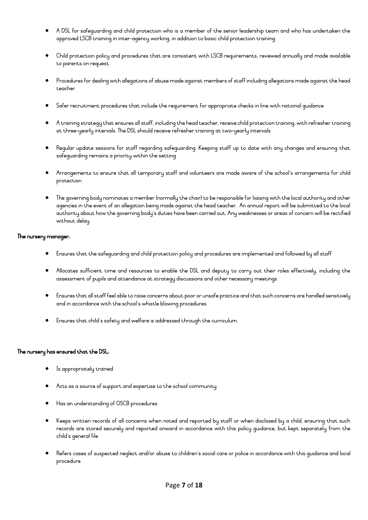- A DSL for safeguarding and child protection who is a member of the senior leadership team and who has undertaken the approved LSCB training in inter-agency working, in addition to basic child protection training
- Child protection policy and procedures that are consistent with LSCB requirements, reviewed annually and made available to parents on request
- Procedures for dealing with allegations of abuse made against members of staff including allegations made against the head teacher
- Safer recruitment procedures that include the requirement for appropriate checks in line with national guidance
- A training strategy that ensures all staff, including the head teacher, receive child protection training, with refresher training at three-yearly intervals. The DSL should receive refresher training at two-yearly intervals
- Regular update sessions for staff regarding safeguarding. Keeping staff up to date with any changes and ensuring that safeguarding remains a priority within the setting
- Arrangements to ensure that all temporary staff and volunteers are made aware of the school's arrangements for child protection
- The governing body nominates a member (normally the chair) to be responsible for liaising with the local authority and other agencies in the event of an allegation being made against the head teacher. An annual report will be submitted to the local authority about how the governing body's duties have been carried out. Any weaknesses or areas of concern will be rectified without delay

## The nursery manager:

- Ensures that the safeguarding and child protection policy and procedures are implemented and followed by all staff
- Allocates sufficient time and resources to enable the DSL and deputy to carry out their roles effectively, including the assessment of pupils and attendance at strategy discussions and other necessary meetings
- Ensures that all staff feel able to raise concerns about poor or unsafe practice and that such concerns are handled sensitively and in accordance with the school's whistle blowing procedures
- Ensures that child's safety and welfare is addressed through the curriculum.

## The nursery has ensured that the DSL:

- Is appropriately trained.
- Acts as a source of support and expertise to the school community
- Has an understanding of OSCB procedures
- Keeps written records of all concerns when noted and reported by staff or when disclosed by a child, ensuring that such records are stored securely and reported onward in accordance with this policy guidance, but kept separately from the child's general file
- Refers cases of suspected neglect and/or abuse to children's social care or police in accordance with this guidance and local procedure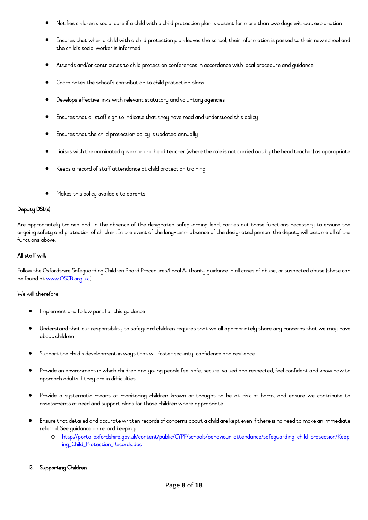- Notifies children's social care if a child with a child protection plan is absent for more than two days without explanation
- Ensures that when a child with a child protection plan leaves the school, their information is passed to their new school and the child's social worker is informed
- Attends and/or contributes to child protection conferences in accordance with local procedure and guidance
- Coordinates the school's contribution to child protection plans
- Develops effective links with relevant statutory and voluntary agencies
- Ensures that all staff sign to indicate that they have read and understood this policy
- Ensures that the child protection policy is updated annually
- Liaises with the nominated governor and head teacher (where the role is not carried out by the head teacher) as appropriate
- Keeps a record of staff attendance at child protection training
- Makes this policy available to parents

## Deputy DSL(s)

Are appropriately trained and, in the absence of the designated safeguarding lead, carries out those functions necessary to ensure the ongoing safety and protection of children. In the event of the long-term absence of the designated person, the deputy will assume all of the functions above.

## All staff will:

Follow the Oxfordshire Safeguarding Children Board Procedures/Local Authority guidance in all cases of abuse, or suspected abuse (these can be found at [www.OSCB.org.uk](http://www.oscb.org.uk/) ).

We will therefore:

- Implement and follow part I of this quidance
- Understand that our responsibility to safeguard children requires that we all appropriately share any concerns that we may have about children
- Support the child's development in ways that will foster security, confidence and resilience
- Provide an environment in which children and young people feel safe, secure, valued and respected, feel confident and know how to approach adults if they are in difficulties
- Provide a systematic means of monitoring children known or thought to be at risk of harm, and ensure we contribute to assessments of need and support plans for those children where appropriate
- Ensure that detailed and accurate written records of concerns about a child are kept even if there is no need to make an immediate referral.See guidance on record keeping:
	- o [http://portal.oxfordshire.gov.uk/content/public/CYPF/schools/behaviour\\_attendance/safeguarding\\_child\\_protection/Keep](http://portal.oxfordshire.gov.uk/content/public/CYPF/schools/behaviour_attendance/safeguarding_child_protection/Keeping_Child_Protection_Records.doc) [ing\\_Child\\_Protection\\_Records.doc](http://portal.oxfordshire.gov.uk/content/public/CYPF/schools/behaviour_attendance/safeguarding_child_protection/Keeping_Child_Protection_Records.doc)

## 13. Supporting Children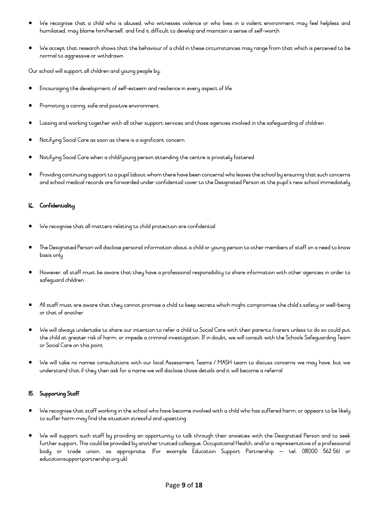- We recognise that a child who is abused, who witnesses violence or who lives in a violent environment may feel helpless and humiliated, may blame him/herself, and find it difficult to develop and maintain a sense of self-worth
- We accept that research shows that the behaviour of a child in these circumstances may range from that which is perceived to be normal to aggressive or withdrawn

Our school will support all children and young people by:

- Encouraging the development of self-esteem and resilience in every aspect of life
- Promoting a caring, safe and positive environment
- Liaising and working together with all other support services and those agencies involved in the safeguarding of children
- Notifying Social Care as soon as there is a significant concern
- Notifying Social Care when a child/young person attending the centre is privately fostered
- Providing continuing support to a pupil (about whom there have been concerns) who leaves the school by ensuring that such concerns and school medical records are forwarded under confidential cover to the Designated Person at the pupil's new school immediately

## 14. Confidentiality

- We recognise that all matters relating to child protection are confidential
- The Designated Person will disclose personal information about a child or young person to other members of staff on a need to know basis only
- However, all staff must be aware that they have a professional responsibility to share information with other agencies in order to safeguard children
- All staff must are aware that they cannot promise a child to keep secrets which might compromise the child's safety or well-being or that of another
- We will always undertake to share our intention to refer a child to Social Care with their parents /carers unless to do so could put the child at greater risk of harm, or impede a criminal investigation. If in doubt, we will consult with the Schools Safeguarding Team or Social Care on this point
- We will take no names consultations with our local Assessment Teams / MASH team to discuss concerns we may have, but we understand that if they then ask for a name we will disclose those details and it will become a referral

## 15. Supporting Staff

- We recognise that staff working in the school who have become involved with a child who has suffered harm, or appears to be likely to suffer harm may find the situation stressful and upsetting
- We will support such staff by providing an opportunity to talk through their anxieties with the Designated Person and to seek further support. This could be provided by another trusted colleague, Occupational Health, and/or a representative of a professional body or trade union, as appropriate. (For example Education Support Partnership – tel: 08000 562 561 or educationsupportpartnership.org.uk)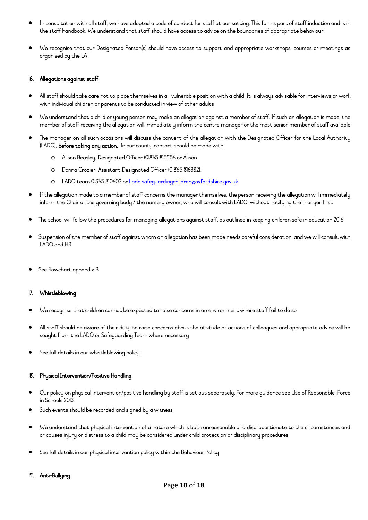- In consultation with all staff, we have adopted a code of conduct for staff at our setting. This forms part of staff induction and is in the staff handbook. We understand that staff should have access to advice on the boundaries of appropriate behaviour
- We recognise that our Designated Person(s) should have access to support and appropriate workshops, courses or meetings as organised by the LA

## 16. Allegations against staff

- All staff should take care not to place themselves in a vulnerable position with a child. It is always advisable for interviews or work with individual children or parents to be conducted in view of other adults
- We understand that a child or young person may make an allegation against a member of staff. If such an allegation is made, the member of staff receiving the allegation will immediately inform the centre manager or the most senior member of staff available
- The manager on all such occasions will discuss the content of the allegation with the Designated Officer for the Local Authority (LADO), before taking any action. In our county contact should be made with
	- o Alison Beasley, Designated Officer (01865 815956 or Alison
	- o Donna Crozier, Assistant Designated Officer (01865 816382).
	- o LADO team 01865 810603 or [Lado.safeguardingchildren@oxfordshire.gov.uk](mailto:Lado.safeguardingchildren@oxfordshire.gov.uk)
- If the allegation made to a member of staff concerns the manager themselves, the person receiving the allegation will immediately inform the Chair of the governing body / the nursery owner, who will consult with LADO, without notifying the manger first
- The school will follow the procedures for managing allegations against staff, as outlined in keeping children safe in education 2016
- Suspension of the member of staff against whom an allegation has been made needs careful consideration, and we will consult with LADO and HR
- See flowchart appendix B

## 17. Whistleblowing

- We recognise that children cannot be expected to raise concerns in an environment where staff fail to do so
- All staff should be aware of their duty to raise concerns about the attitude or actions of colleagues and appropriate advice will be sought from the LADO or Safeguarding Team where necessary
- See full details in our whistleblowing policy

## 18. Physical Intervention/Positive Handling

- Our policy on physical intervention/positive handling by staff is set out separately. For more guidance see Use of Reasonable Force in Schools 2013.
- Such events should be recorded and signed by a witness
- We understand that physical intervention of a nature which is both unreasonable and disproportionate to the circumstances and or causes injury or distress to a child may be considered under child protection or disciplinary procedures
- See full details in our physical intervention policy within the Behaviour Policy

## 19. Anti-Bullying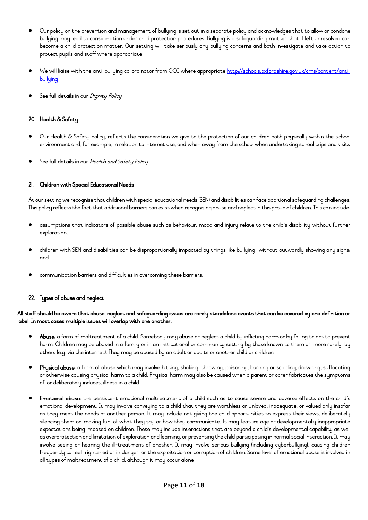- Our policy on the prevention and management of bullying is set out in a separate policy and acknowledges that to allow or condone bullying may lead to consideration under child protection procedures. Bullying is a safeguarding matter that if left unresolved can become a child protection matter. Our setting will take seriously any bullying concerns and both investigate and take action to protect pupils and staff where appropriate
- We will liaise with the anti-bullying co-ordinator from OCC where appropriat[e http://schools.oxfordshire.gov.uk/cms/content/anti](http://schools.oxfordshire.gov.uk/cms/content/anti-bullying)[bullying](http://schools.oxfordshire.gov.uk/cms/content/anti-bullying)
- See full details in our *Dignity Policy*

## 20. Health & Safety

- Our Health & Safety policy, reflects the consideration we give to the protection of our children both physically within the school environment and, for example, in relation to internet use, and when away from the school when undertaking school trips and visits
- See full details in our Health and Safety Policy

## 21. Children with Special Educational Needs

At our setting we recognise that children with special educational needs (SEN) and disabilities can face additional safeguarding challenges. This policy reflects the fact that additional barriers can exist when recognising abuse and neglect in this group of children. This can include:

- assumptions that indicators of possible abuse such as behaviour, mood and injury relate to the child's disability without further exploration;
- children with SEN and disabilities can be disproportionally impacted by things like bullying- without outwardly showing any signs; and
- communication barriers and difficulties in overcoming these barriers.

## 22. Types of abuse and neglect

## All staff should be aware that abuse, neglect and safeguarding issues are rarely standalone events that can be covered by one definition or label. In most cases multiple issues will overlap with one another.

- Abuse: a form of maltreatment of a child. Somebody may abuse or neglect a child by inflicting harm or by failing to act to prevent harm. Children may be abused in a family or in an institutional or community setting by those known to them or, more rarely, by others (e.g. via the internet). They may be abused by an adult or adults or another child or children
- Physical abuse: a form of abuse which may involve hitting, shaking, throwing, poisoning, burning or scalding, drowning, suffocating or otherwise causing physical harm to a child. Physical harm may also be caused when a parent or carer fabricates the symptoms of, or deliberately induces, illness in a child
- Emotional abuse: the persistent emotional maltreatment of a child such as to cause severe and adverse effects on the child's emotional development. It may involve conveying to a child that they are worthless or unloved, inadequate, or valued only insofar as they meet the needs of another person. It may include not giving the child opportunities to express their views, deliberately silencing them or 'making fun' of what they say or how they communicate. It may feature age or developmentally inappropriate expectations being imposed on children. These may include interactions that are beyond a child's developmental capability as well as overprotection and limitation of exploration and learning, or preventing the child participating in normal social interaction. It may involve seeing or hearing the ill-treatment of another. It may involve serious bullying (including cyberbullying), causing children frequently to feel frightened or in danger, or the exploitation or corruption of children. Some level of emotional abuse is involved in all types of maltreatment of a child, although it may occur alone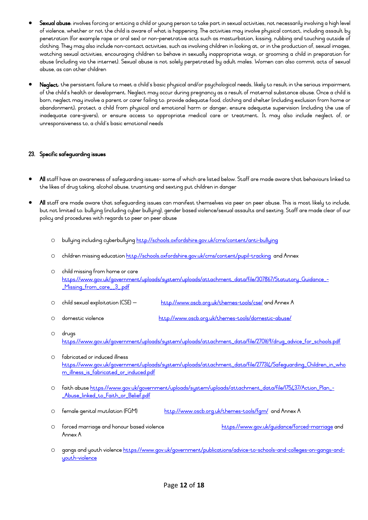- Sexual abuse: involves forcing or enticing a child or young person to take part in sexual activities, not necessarily involving a high level of violence, whether or not the child is aware of what is happening. The activities may involve physical contact, including assault by penetration (for example rape or oral sex) or non-penetrative acts such as masturbation, kissing, rubbing and touching outside of clothing. They may also include non-contact activities, such as involving children in looking at, or in the production of, sexual images, watching sexual activities, encouraging children to behave in sexually inappropriate ways, or grooming a child in preparation for abuse (including via the internet). Sexual abuse is not solely perpetrated by adult males. Women can also commit acts of sexual abuse, as can other children
- Neglect: the persistent failure to meet a child's basic physical and/or psychological needs, likely to result in the serious impairment of the child's health or development. Neglect may occur during pregnancy as a result of maternal substance abuse. Once a child is born, neglect may involve a parent or carer failing to: provide adequate food, clothing and shelter (including exclusion from home or abandonment); protect a child from physical and emotional harm or danger; ensure adequate supervision (including the use of inadequate care-givers); or ensure access to appropriate medical care or treatment. It may also include neglect of, or unresponsiveness to, a child's basic emotional needs

## 23. Specific safeguarding issues

- All staff have an awareness of safeguarding issues- some of which are listed below. Staff are made aware that behaviours linked to the likes of drug taking, alcohol abuse, truanting and sexting put children in danger
- All staff are made aware that safeguarding issues can manifest themselves via peer on peer abuse. This is most likely to include, but not limited to: bullying (including cyber bullying), gender based violence/sexual assaults and sexting. Staff are made clear of our policy and procedures with regards to peer on peer abuse
	- o bullying including cyberbullying<http://schools.oxfordshire.gov.uk/cms/content/anti-bullying>
	- o children missing education<http://schools.oxfordshire.gov.uk/cms/content/pupil-tracking>and Annex
	- o child missing from home or care [https://www.gov.uk/government/uploads/system/uploads/attachment\\_data/file/307867/Statutory\\_Guidance\\_-](https://www.gov.uk/government/uploads/system/uploads/attachment_data/file/307867/Statutory_Guidance_-_Missing_from_care__3_.pdf) [\\_Missing\\_from\\_care\\_\\_3\\_.pdf](https://www.gov.uk/government/uploads/system/uploads/attachment_data/file/307867/Statutory_Guidance_-_Missing_from_care__3_.pdf)
	- o child sexual exploitation (CSE) <http://www.oscb.org.uk/themes-tools/cse/> and Annex A
	- o domestic violence <http://www.oscb.org.uk/themes-tools/domestic-abuse/>
	- o drugs [https://www.gov.uk/government/uploads/system/uploads/attachment\\_data/file/270169/drug\\_advice\\_for\\_schools.pdf](https://www.gov.uk/government/uploads/system/uploads/attachment_data/file/270169/drug_advice_for_schools.pdf)
	- o fabricated or induced illness [https://www.gov.uk/government/uploads/system/uploads/attachment\\_data/file/277314/Safeguarding\\_Children\\_in\\_who](https://www.gov.uk/government/uploads/system/uploads/attachment_data/file/277314/Safeguarding_Children_in_whom_illness_is_fabricated_or_induced.pdf) [m\\_illness\\_is\\_fabricated\\_or\\_induced.pdf](https://www.gov.uk/government/uploads/system/uploads/attachment_data/file/277314/Safeguarding_Children_in_whom_illness_is_fabricated_or_induced.pdf)
	- o faith abuse [https://www.gov.uk/government/uploads/system/uploads/attachment\\_data/file/175437/Action\\_Plan\\_-](https://www.gov.uk/government/uploads/system/uploads/attachment_data/file/175437/Action_Plan_-_Abuse_linked_to_Faith_or_Belief.pdf) [\\_Abuse\\_linked\\_to\\_Faith\\_or\\_Belief.pdf](https://www.gov.uk/government/uploads/system/uploads/attachment_data/file/175437/Action_Plan_-_Abuse_linked_to_Faith_or_Belief.pdf)
	- O female genital mutilation (FGM) <http://www.oscb.org.uk/themes-tools/fgm/>and Annex A
	- O forced marriage and honour based violence https://www.gov.uk/quidance/forced-marriage and Annex A
	- o gangs and youth violenc[e https://www.gov.uk/government/publications/advice-to-schools-and-colleges-on-gangs-and](https://www.gov.uk/government/publications/advice-to-schools-and-colleges-on-gangs-and-youth-violence)[youth-violence](https://www.gov.uk/government/publications/advice-to-schools-and-colleges-on-gangs-and-youth-violence)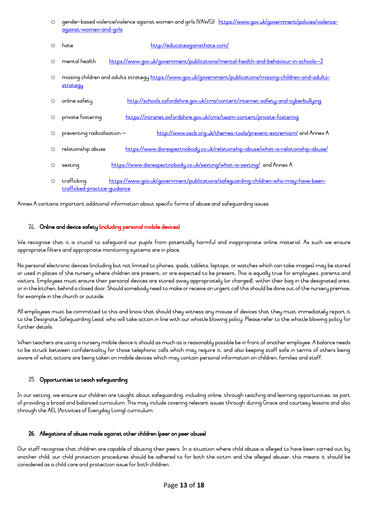| ○ gender-based violence/violence against women and girls (VAWG) <u>https://www.gov.uk/government/policies/violence-</u> |  |
|-------------------------------------------------------------------------------------------------------------------------|--|
| <u>aqainst-women-and-girls</u>                                                                                          |  |

| ∩       | hate                                        | http://educateagainsthate.com/                                                                               |
|---------|---------------------------------------------|--------------------------------------------------------------------------------------------------------------|
| $\circ$ | mental health                               | https://www.gov.uk/government/publications/mental-health-and-behaviour-in-schools--2                         |
| $\circ$ | strategy                                    | missing children and adults strategy https://www.gov.uk/government/publications/missing-children-and-adults- |
| $\circ$ | online safety                               | http://schools.oxfordshire.gov.uk/cms/content/internet-safety-and-cyberbullying                              |
| $\circ$ | private fostering                           | https://intranet.oxfordshire.gov.uk/cms/team-content/private-fostering                                       |
| $\circ$ | preventing radicalisation -                 | http://www.oscb.org.uk/themes-tools/prevent-extremism/ and Annex A                                           |
| $\circ$ | relationship abuse                          | https://www.disrespectnobody.co.uk/relationship-abuse/what-is-relationship-abuse/                            |
| O       | sexting                                     | https://www.disrespectnobody.co.uk/sexting/what-is-sexting/ and Annex A                                      |
| $\circ$ | trafficking<br>trafficked-practice-guidance | https://www.gov.uk/government/publications/safeguarding-children-who-may-have-been-                          |

Annex A contains important additional information about specific forms of abuse and safeguarding issues.

## 24. Online and device safety (including personal mobile devices)

We recognise that it is crucial to safeguard our pupils from potentially harmful and inappropriate online material. As such we ensure appropriate filters and appropriate monitoring systems are in place.

No personal electronic devices (including but not limited to phones, ipads, tablets, laptops, or watches which can take images) may be stored or used in places of the nursery where children are present, or are expected to be present. This is equally true for employees, parents and visitors. Employees must ensure their personal devices are stored away appropriately (or charged), within their bag in the designated area, or in the kitchen, behind a closed door. Should somebody need to make or receive an urgent call this should be done out of the nursery premise, for example in the church or outside.

All employees must be committed to this and know that should they witness any misuse of devices that they must immediately report it to the Designate Safeguarding Lead, who will take action in line with our whistle blowing policy. Please refer to the whistle blowing policy for further details.

When teachers are using a nursery mobile device it should as much as is reasonably possible be in front of another employee. A balance needs to be struck between confidentiality for those telephonic calls which may require it, and also keeping staff safe in terms of others being aware of what actions are being taken on mobile devices which may contain personal information on children, families and staff.

## 25. Opportunities to teach safeguarding

In our setting, we ensure our children are taught about safeguarding, including online, through teaching and learning opportunities, as part of providing a broad and balanced curriculum. This may include covering relevant issues through during Grace and courtesy lessons and also through the AEL (Activities of Everyday Living) curriculum.

#### 26. Allegations of abuse made against other children (peer on peer abuse)

Our staff recognise that children are capable of abusing their peers. In a situation where child abuse is alleged to have been carried out by another child, our child protection procedures should be adhered to for both the victim and the alleged abuser; this means it should be considered as a child care and protection issue for both children.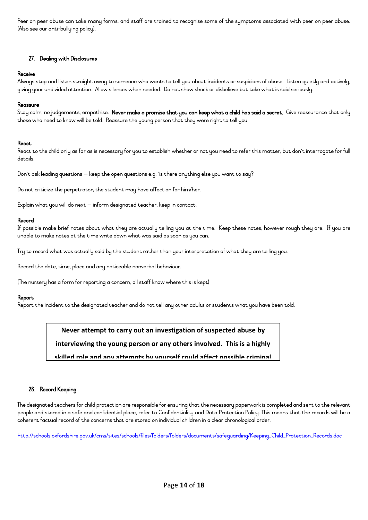Peer on peer abuse can take many forms, and staff are trained to recognise some of the symptoms associated with peer on peer abuse. (Also see our anti-bullying policy).

## 27. Dealing with Disclosures

#### Receive

Always stop and listen straight away to someone who wants to tell you about incidents or suspicions of abuse. Listen quietly and actively, giving your undivided attention. Allow silences when needed. Do not show shock or disbelieve but take what is said seriously.

#### Reassure

Stay calm, no judgements, empathise. Never make a promise that you can keep what a child has said a secret. Give reassurance that only those who need to know will be told. Reassure the young person that they were right to tell you.

## **React**

React to the child only as far as is necessary for you to establish whether or not you need to refer this matter, but don't interrogate for full details.

Don't ask leading questions – keep the open questions e.g. 'is there anything else you want to say?'

Do not criticize the perpetrator; the student may have affection for him/her.

Explain what you will do next – inform designated teacher, keep in contact.

#### Record

If possible make brief notes about what they are actually telling you at the time. Keep these notes, however rough they are. If you are unable to make notes at the time write down what was said as soon as you can.

Try to record what was actually said by the student rather than your interpretation of what they are telling you.

Record the date, time, place and any noticeable nonverbal behaviour.

(The nursery has a form for reporting a concern, all staff know where this is kept)

#### Report

Report the incident to the designated teacher and do not tell any other adults or students what you have been told.

## **Never attempt to carry out an investigation of suspected abuse by**

**interviewing the young person or any others involved. This is a highly** 

**skilled role and any attempts by yourself could affect possible criminal** 

## 28. Record Keeping

The designated teachers for child protection are responsible for ensuring that the necessary paperwork is completed and sent to the relevant people and stored in a safe and confidential place, refer to Confidentiality and Data Protection Policy. This means that the records will be a coherent factual record of the concerns that are stored on individual children in a clear chronological order.

[http://schools.oxfordshire.gov.uk/cms/sites/schools/files/folders/folders/documents/safeguarding/Keeping\\_Child\\_Protection\\_Records.doc](http://schools.oxfordshire.gov.uk/cms/sites/schools/files/folders/folders/documents/safeguarding/Keeping_Child_Protection_Records.doc)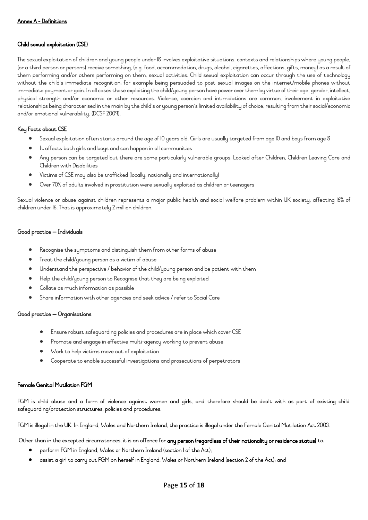## Child sexual exploitation (CSE)

The sexual exploitation of children and young people under 18 involves exploitative situations, contexts and relationships where young people, (or a third person or persons) receive something, (e.g. food, accommodation, drugs, alcohol, cigarettes, affections, gifts, money) as a result of them performing and/or others performing on them, sexual activities. Child sexual exploitation can occur through the use of technology without the child's immediate recognition; for example being persuaded to post sexual images on the internet/mobile phones without immediate payment or gain. In all cases those exploiting the child/young person have power over them by virtue of their age, gender, intellect, physical strength and/or economic or other resources. Violence, coercion and intimidations are common, involvement in exploitative relationships being characterised in the main by the child's or young person's limited availability of choice, resulting from their social/economic and/or emotional vulnerability. (DCSF 2009).

## Key Facts about CSE

- Sexual exploitation often starts around the age of 10 years old. Girls are usually targeted from age 10 and boys from age 8
- It affects both girls and boys and can happen in all communities
- Any person can be targeted but there are some particularly vulnerable groups: Looked after Children, Children Leaving Care and Children with Disabilities
- Victims of CSE may also be trafficked (locally, nationally and internationally)
- Over 70% of adults involved in prostitution were sexually exploited as children or teenagers

Sexual violence or abuse against children represents a major public health and social welfare problem within UK society, affecting 16% of children under 16. That is approximately 2 million children.

## Good practice – Individuals

- Recognise the symptoms and distinguish them from other forms of abuse
- Treat the child/young person as a victim of abuse
- Understand the perspective / behavior of the child/young person and be patient with them
- Help the child/young person to Recognise that they are being exploited
- Collate as much information as possible
- Share information with other agencies and seek advice / refer to Social Care

## Good practice – Organisations

- Ensure robust safeguarding policies and procedures are in place which cover CSE
- Promote and engage in effective multi-agency working to prevent abuse
- Work to help victims move out of exploitation
- Cooperate to enable successful investigations and prosecutions of perpetrators

## Female Genital Mutilation FGM

FGM is child abuse and a form of violence against women and girls, and therefore should be dealt with as part of existing child safeguarding/protection structures, policies and procedures.

FGM is illegal in the UK. In England, Wales and Northern Ireland, the practice is illegal under the Female Genital Mutilation Act 2003.

Other than in the excepted circumstances, it is an offence for any person (regardless of their nationality or residence status) to:

- perform FGM in England, Wales or Northern Ireland (section 1 of the Act);
- assist a girl to carry out FGM on herself in England, Wales or Northern Ireland (section 2 of the Act); and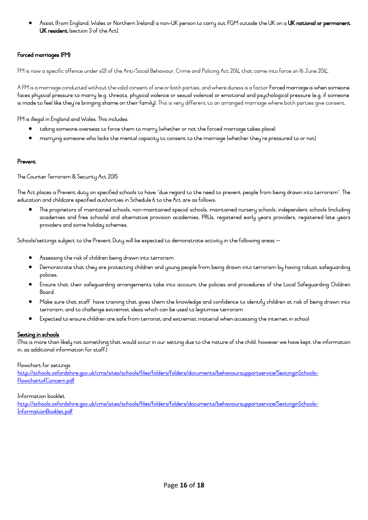Assist (from England, Wales or Northern Ireland) a non-UK person to carry out FGM outside the UK on a **UK national or permanent** UK resident (section 3 of the Act).

## Forced marriages (FM)

FM is now a specific offence under s121 of the Anti-Social Behaviour, Crime and Policing Act 2014 that came into force on 16 June 2014.

A FM is a marriage conducted without the valid consent of one or both parties, and where duress is a factor Forced marriage is when someone faces physical pressure to marry (e.g. threats, physical violence or sexual violence) or emotional and psychological pressure (e.g. if someone is made to feel like they're bringing shame on their family). This is very different to an arranged marriage where both parties give consent.

FM is illegal in England and Wales. This includes:

- taking someone overseas to force them to marry (whether or not the forced marriage takes place)
- marrying someone who lacks the mental capacity to consent to the marriage (whether they're pressured to or not)

#### Prevent

The Counter Terrorism & Security Act 2015

The Act places a Prevent duty on specified schools to have "due regard to the need to prevent people from being drawn into terrorism". The education and childcare specified authorities in Schedule 6 to the Act are as follows:

• The proprietors of maintained schools, non-maintained special schools, maintained nursery schools, independent schools (including academies and free schools) and alternative provision academies, PRUs, registered early years providers, registered late years providers and some holiday schemes.

Schools/settings subject to the Prevent Duty will be expected to demonstrate activity in the following areas –

- Assessing the risk of children being drawn into terrorism
- Demonstrate that they are protecting children and young people from being drawn into terrorism by having robust safeguarding policies.
- Ensure that their safeguarding arrangements take into account the policies and procedures of the Local Safeguarding Children **Board**
- Make sure that staff have training that gives them the knowledge and confidence to identify children at risk of being drawn into terrorism, and to challenge extremist ideas which can be used to legitimise terrorism
- Expected to ensure children are safe from terrorist and extremist material when accessing the internet in school

## Sexting in schools

(This is more than likely not something that would occur in our setting due to the nature of the child, however we have kept the information in, as additional information for staff.)

#### Flowchart for settings

[http://schools.oxfordshire.gov.uk/cms/sites/schools/files/folders/folders/documents/behavioursupportservice/SextinginSchools-](http://schools.oxfordshire.gov.uk/cms/sites/schools/files/folders/folders/documents/behavioursupportservice/SextinginSchools-FlowchartofConcern.pdf)[FlowchartofConcern.pdf](http://schools.oxfordshire.gov.uk/cms/sites/schools/files/folders/folders/documents/behavioursupportservice/SextinginSchools-FlowchartofConcern.pdf)

#### Information booklet

[http://schools.oxfordshire.gov.uk/cms/sites/schools/files/folders/folders/documents/behavioursupportservice/SextinginSchools-](http://schools.oxfordshire.gov.uk/cms/sites/schools/files/folders/folders/documents/behavioursupportservice/SextinginSchools-InformationBooklet.pdf)[InformationBooklet.pdf](http://schools.oxfordshire.gov.uk/cms/sites/schools/files/folders/folders/documents/behavioursupportservice/SextinginSchools-InformationBooklet.pdf)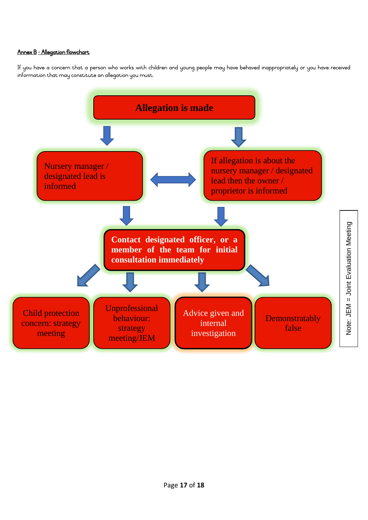## Annex B - Allegation flowchart

If you have a concern that a person who works with children and young people may have behaved inappropriately or you have received information that may constitute an allegation you must: